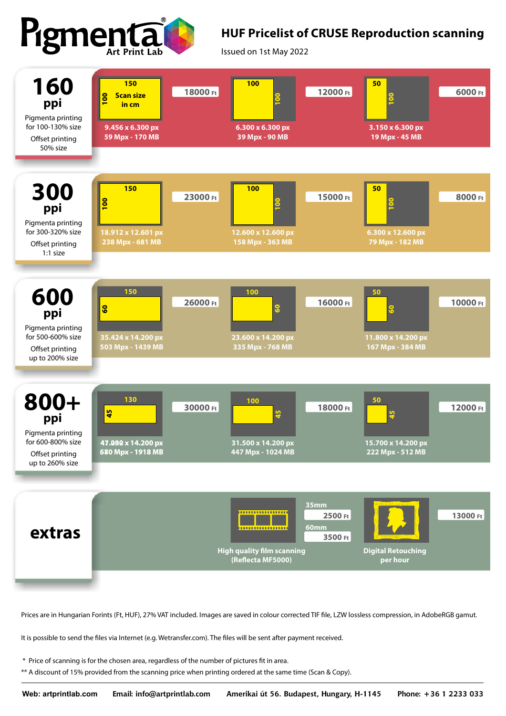

## **HUF Pricelist of CRUSE Reproduction scanning**

Issued on 1st May 2022



Prices are in Hungarian Forints (Ft, HUF), 27% VAT included. Images are saved in colour corrected TIF file, LZW lossless compression, in AdobeRGB gamut.

It is possible to send the files via Internet (e.g. Wetransfer.com). The files will be sent after payment received.

\* Price of scanning is for the chosen area, regardless of the number of pictures fit in area.

\*\* A discount of 15% provided from the scanning price when printing ordered at the same time (Scan & Copy).